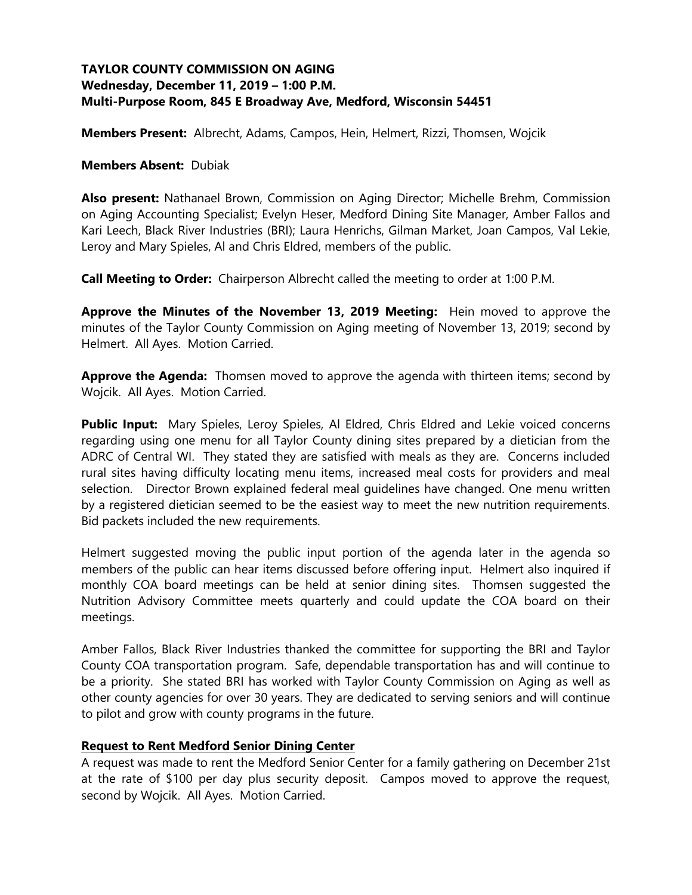# **TAYLOR COUNTY COMMISSION ON AGING Wednesday, December 11, 2019 – 1:00 P.M. Multi-Purpose Room, 845 E Broadway Ave, Medford, Wisconsin 54451**

**Members Present:** Albrecht, Adams, Campos, Hein, Helmert, Rizzi, Thomsen, Wojcik

#### **Members Absent:** Dubiak

**Also present:** Nathanael Brown, Commission on Aging Director; Michelle Brehm, Commission on Aging Accounting Specialist; Evelyn Heser, Medford Dining Site Manager, Amber Fallos and Kari Leech, Black River Industries (BRI); Laura Henrichs, Gilman Market, Joan Campos, Val Lekie, Leroy and Mary Spieles, Al and Chris Eldred, members of the public.

**Call Meeting to Order:** Chairperson Albrecht called the meeting to order at 1:00 P.M.

**Approve the Minutes of the November 13, 2019 Meeting:** Hein moved to approve the minutes of the Taylor County Commission on Aging meeting of November 13, 2019; second by Helmert. All Ayes. Motion Carried.

**Approve the Agenda:** Thomsen moved to approve the agenda with thirteen items; second by Wojcik. All Ayes. Motion Carried.

**Public Input:** Mary Spieles, Leroy Spieles, Al Eldred, Chris Eldred and Lekie voiced concerns regarding using one menu for all Taylor County dining sites prepared by a dietician from the ADRC of Central WI. They stated they are satisfied with meals as they are. Concerns included rural sites having difficulty locating menu items, increased meal costs for providers and meal selection. Director Brown explained federal meal guidelines have changed. One menu written by a registered dietician seemed to be the easiest way to meet the new nutrition requirements. Bid packets included the new requirements.

Helmert suggested moving the public input portion of the agenda later in the agenda so members of the public can hear items discussed before offering input. Helmert also inquired if monthly COA board meetings can be held at senior dining sites. Thomsen suggested the Nutrition Advisory Committee meets quarterly and could update the COA board on their meetings.

Amber Fallos, Black River Industries thanked the committee for supporting the BRI and Taylor County COA transportation program. Safe, dependable transportation has and will continue to be a priority. She stated BRI has worked with Taylor County Commission on Aging as well as other county agencies for over 30 years. They are dedicated to serving seniors and will continue to pilot and grow with county programs in the future.

### **Request to Rent Medford Senior Dining Center**

A request was made to rent the Medford Senior Center for a family gathering on December 21st at the rate of \$100 per day plus security deposit. Campos moved to approve the request, second by Wojcik. All Ayes. Motion Carried.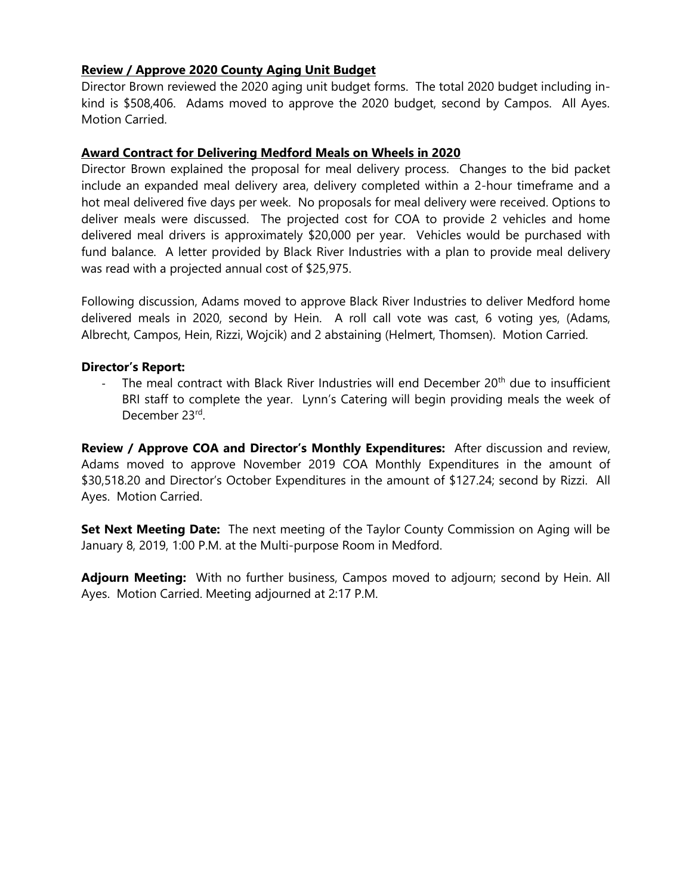# **Review / Approve 2020 County Aging Unit Budget**

Director Brown reviewed the 2020 aging unit budget forms. The total 2020 budget including inkind is \$508,406. Adams moved to approve the 2020 budget, second by Campos. All Ayes. Motion Carried.

## **Award Contract for Delivering Medford Meals on Wheels in 2020**

Director Brown explained the proposal for meal delivery process. Changes to the bid packet include an expanded meal delivery area, delivery completed within a 2-hour timeframe and a hot meal delivered five days per week. No proposals for meal delivery were received. Options to deliver meals were discussed. The projected cost for COA to provide 2 vehicles and home delivered meal drivers is approximately \$20,000 per year. Vehicles would be purchased with fund balance. A letter provided by Black River Industries with a plan to provide meal delivery was read with a projected annual cost of \$25,975.

Following discussion, Adams moved to approve Black River Industries to deliver Medford home delivered meals in 2020, second by Hein. A roll call vote was cast, 6 voting yes, (Adams, Albrecht, Campos, Hein, Rizzi, Wojcik) and 2 abstaining (Helmert, Thomsen). Motion Carried.

### **Director's Report:**

The meal contract with Black River Industries will end December 20<sup>th</sup> due to insufficient BRI staff to complete the year. Lynn's Catering will begin providing meals the week of December 23rd.

**Review / Approve COA and Director's Monthly Expenditures:** After discussion and review, Adams moved to approve November 2019 COA Monthly Expenditures in the amount of \$30,518.20 and Director's October Expenditures in the amount of \$127.24; second by Rizzi. All Ayes. Motion Carried.

**Set Next Meeting Date:** The next meeting of the Taylor County Commission on Aging will be January 8, 2019, 1:00 P.M. at the Multi-purpose Room in Medford.

**Adjourn Meeting:** With no further business, Campos moved to adjourn; second by Hein. All Ayes. Motion Carried. Meeting adjourned at 2:17 P.M.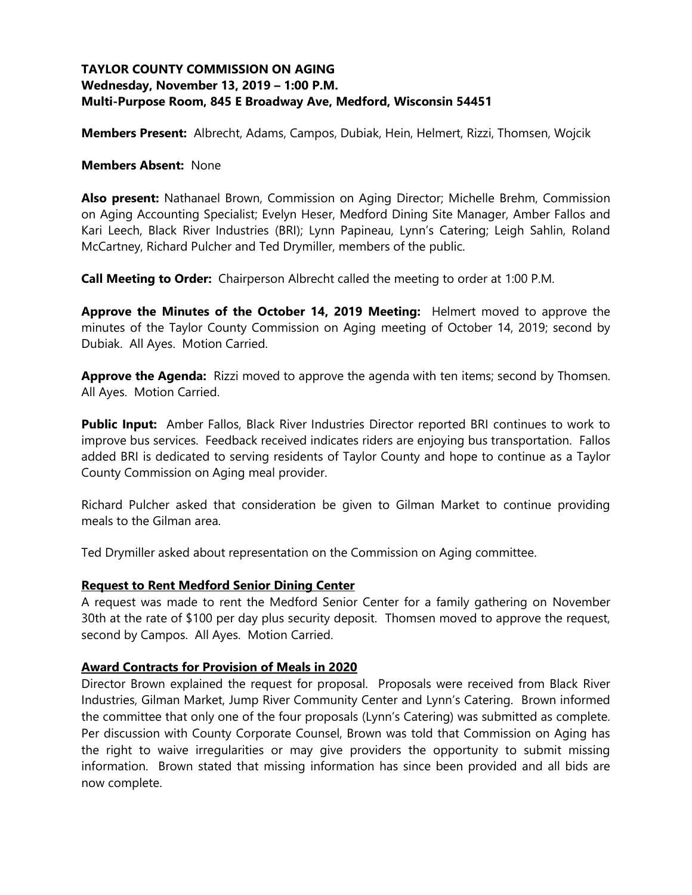# **TAYLOR COUNTY COMMISSION ON AGING Wednesday, November 13, 2019 – 1:00 P.M. Multi-Purpose Room, 845 E Broadway Ave, Medford, Wisconsin 54451**

**Members Present:** Albrecht, Adams, Campos, Dubiak, Hein, Helmert, Rizzi, Thomsen, Wojcik

#### **Members Absent:** None

**Also present:** Nathanael Brown, Commission on Aging Director; Michelle Brehm, Commission on Aging Accounting Specialist; Evelyn Heser, Medford Dining Site Manager, Amber Fallos and Kari Leech, Black River Industries (BRI); Lynn Papineau, Lynn's Catering; Leigh Sahlin, Roland McCartney, Richard Pulcher and Ted Drymiller, members of the public.

**Call Meeting to Order:** Chairperson Albrecht called the meeting to order at 1:00 P.M.

**Approve the Minutes of the October 14, 2019 Meeting:** Helmert moved to approve the minutes of the Taylor County Commission on Aging meeting of October 14, 2019; second by Dubiak. All Ayes. Motion Carried.

**Approve the Agenda:** Rizzi moved to approve the agenda with ten items; second by Thomsen. All Ayes. Motion Carried.

**Public Input:** Amber Fallos, Black River Industries Director reported BRI continues to work to improve bus services. Feedback received indicates riders are enjoying bus transportation. Fallos added BRI is dedicated to serving residents of Taylor County and hope to continue as a Taylor County Commission on Aging meal provider.

Richard Pulcher asked that consideration be given to Gilman Market to continue providing meals to the Gilman area.

Ted Drymiller asked about representation on the Commission on Aging committee.

### **Request to Rent Medford Senior Dining Center**

A request was made to rent the Medford Senior Center for a family gathering on November 30th at the rate of \$100 per day plus security deposit. Thomsen moved to approve the request, second by Campos. All Ayes. Motion Carried.

### **Award Contracts for Provision of Meals in 2020**

Director Brown explained the request for proposal. Proposals were received from Black River Industries, Gilman Market, Jump River Community Center and Lynn's Catering. Brown informed the committee that only one of the four proposals (Lynn's Catering) was submitted as complete. Per discussion with County Corporate Counsel, Brown was told that Commission on Aging has the right to waive irregularities or may give providers the opportunity to submit missing information. Brown stated that missing information has since been provided and all bids are now complete.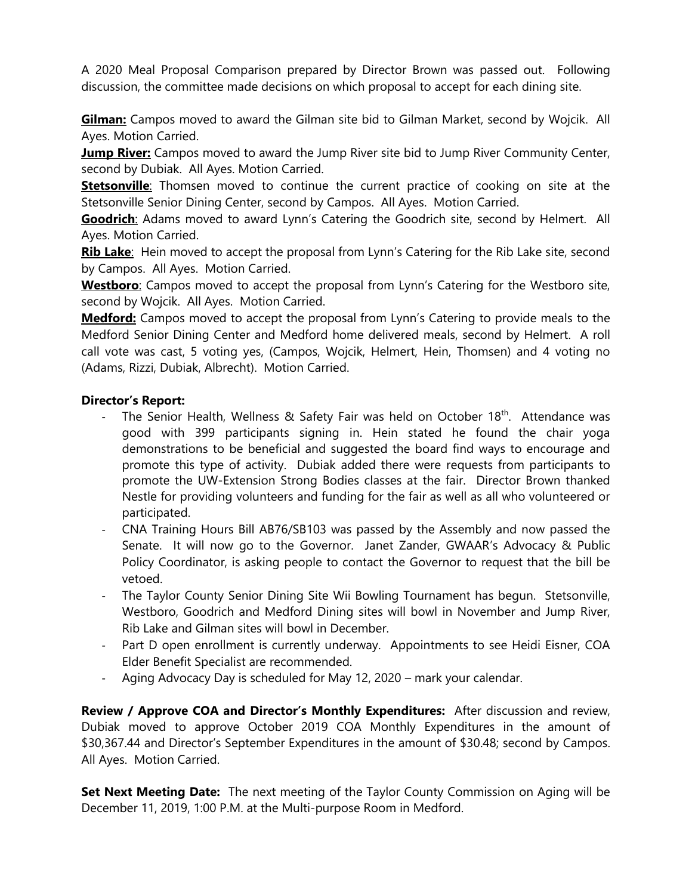A 2020 Meal Proposal Comparison prepared by Director Brown was passed out. Following discussion, the committee made decisions on which proposal to accept for each dining site.

**Gilman:** Campos moved to award the Gilman site bid to Gilman Market, second by Wojcik. All Ayes. Motion Carried.

**Jump River:** Campos moved to award the Jump River site bid to Jump River Community Center, second by Dubiak. All Ayes. Motion Carried.

**Stetsonville**: Thomsen moved to continue the current practice of cooking on site at the Stetsonville Senior Dining Center, second by Campos. All Ayes. Motion Carried.

**Goodrich**: Adams moved to award Lynn's Catering the Goodrich site, second by Helmert. All Ayes. Motion Carried.

**Rib Lake**: Hein moved to accept the proposal from Lynn's Catering for the Rib Lake site, second by Campos. All Ayes. Motion Carried.

**Westboro**: Campos moved to accept the proposal from Lynn's Catering for the Westboro site, second by Wojcik. All Ayes. Motion Carried.

**Medford:** Campos moved to accept the proposal from Lynn's Catering to provide meals to the Medford Senior Dining Center and Medford home delivered meals, second by Helmert. A roll call vote was cast, 5 voting yes, (Campos, Wojcik, Helmert, Hein, Thomsen) and 4 voting no (Adams, Rizzi, Dubiak, Albrecht). Motion Carried.

## **Director's Report:**

- The Senior Health, Wellness & Safety Fair was held on October 18<sup>th</sup>. Attendance was good with 399 participants signing in. Hein stated he found the chair yoga demonstrations to be beneficial and suggested the board find ways to encourage and promote this type of activity. Dubiak added there were requests from participants to promote the UW-Extension Strong Bodies classes at the fair. Director Brown thanked Nestle for providing volunteers and funding for the fair as well as all who volunteered or participated.
- CNA Training Hours Bill AB76/SB103 was passed by the Assembly and now passed the Senate. It will now go to the Governor. Janet Zander, GWAAR's Advocacy & Public Policy Coordinator, is asking people to contact the Governor to request that the bill be vetoed.
- The Taylor County Senior Dining Site Wii Bowling Tournament has begun. Stetsonville, Westboro, Goodrich and Medford Dining sites will bowl in November and Jump River, Rib Lake and Gilman sites will bowl in December.
- Part D open enrollment is currently underway. Appointments to see Heidi Eisner, COA Elder Benefit Specialist are recommended.
- Aging Advocacy Day is scheduled for May 12, 2020 mark your calendar.

**Review / Approve COA and Director's Monthly Expenditures:** After discussion and review, Dubiak moved to approve October 2019 COA Monthly Expenditures in the amount of \$30,367.44 and Director's September Expenditures in the amount of \$30.48; second by Campos. All Ayes. Motion Carried.

**Set Next Meeting Date:** The next meeting of the Taylor County Commission on Aging will be December 11, 2019, 1:00 P.M. at the Multi-purpose Room in Medford.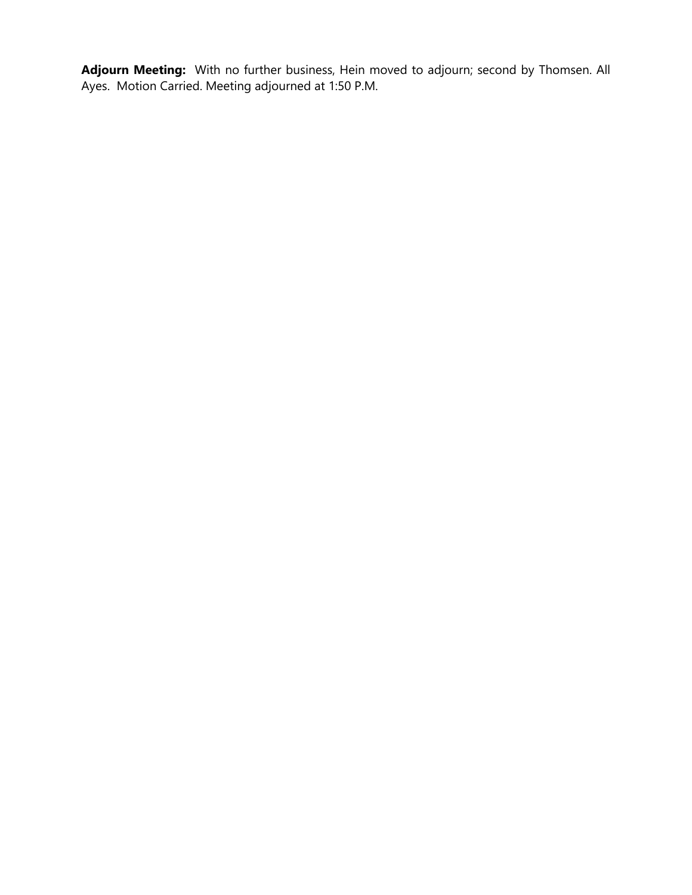**Adjourn Meeting:** With no further business, Hein moved to adjourn; second by Thomsen. All Ayes. Motion Carried. Meeting adjourned at 1:50 P.M.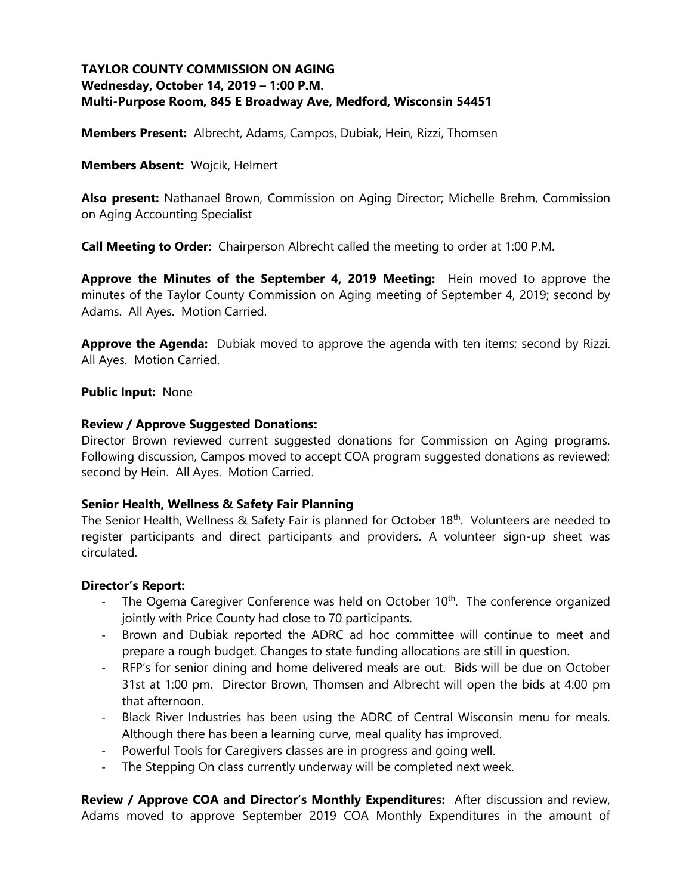# **TAYLOR COUNTY COMMISSION ON AGING Wednesday, October 14, 2019 – 1:00 P.M. Multi-Purpose Room, 845 E Broadway Ave, Medford, Wisconsin 54451**

**Members Present:** Albrecht, Adams, Campos, Dubiak, Hein, Rizzi, Thomsen

**Members Absent:** Wojcik, Helmert

**Also present:** Nathanael Brown, Commission on Aging Director; Michelle Brehm, Commission on Aging Accounting Specialist

**Call Meeting to Order:** Chairperson Albrecht called the meeting to order at 1:00 P.M.

**Approve the Minutes of the September 4, 2019 Meeting:** Hein moved to approve the minutes of the Taylor County Commission on Aging meeting of September 4, 2019; second by Adams. All Ayes. Motion Carried.

**Approve the Agenda:** Dubiak moved to approve the agenda with ten items; second by Rizzi. All Ayes. Motion Carried.

### **Public Input:** None

## **Review / Approve Suggested Donations:**

Director Brown reviewed current suggested donations for Commission on Aging programs. Following discussion, Campos moved to accept COA program suggested donations as reviewed; second by Hein. All Ayes. Motion Carried.

### **Senior Health, Wellness & Safety Fair Planning**

The Senior Health, Wellness & Safety Fair is planned for October 18<sup>th</sup>. Volunteers are needed to register participants and direct participants and providers. A volunteer sign-up sheet was circulated.

### **Director's Report:**

- The Ogema Caregiver Conference was held on October 10<sup>th</sup>. The conference organized jointly with Price County had close to 70 participants.
- Brown and Dubiak reported the ADRC ad hoc committee will continue to meet and prepare a rough budget. Changes to state funding allocations are still in question.
- RFP's for senior dining and home delivered meals are out. Bids will be due on October 31st at 1:00 pm. Director Brown, Thomsen and Albrecht will open the bids at 4:00 pm that afternoon.
- Black River Industries has been using the ADRC of Central Wisconsin menu for meals. Although there has been a learning curve, meal quality has improved.
- Powerful Tools for Caregivers classes are in progress and going well.
- The Stepping On class currently underway will be completed next week.

**Review / Approve COA and Director's Monthly Expenditures:** After discussion and review, Adams moved to approve September 2019 COA Monthly Expenditures in the amount of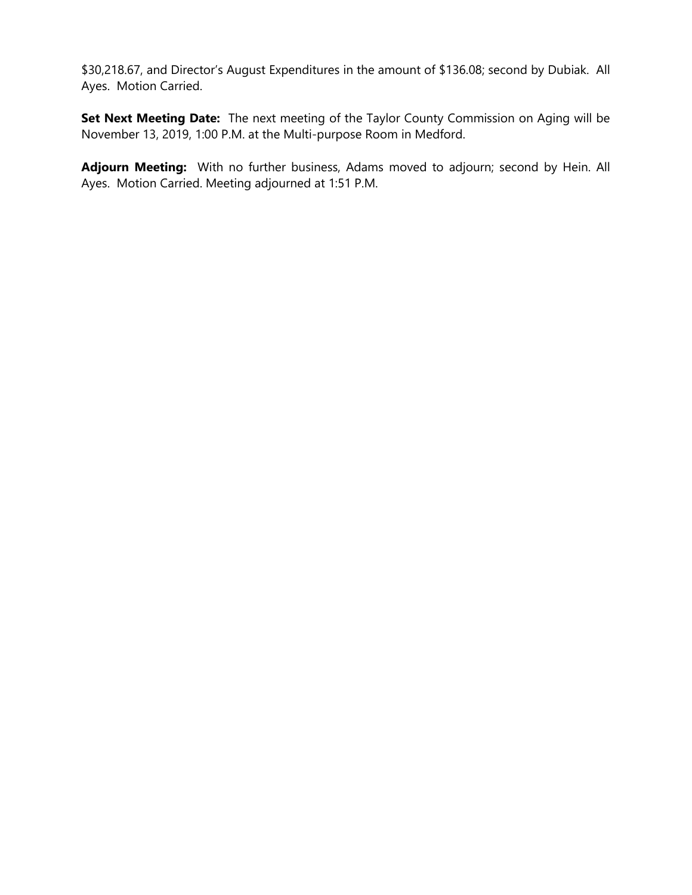\$30,218.67, and Director's August Expenditures in the amount of \$136.08; second by Dubiak. All Ayes. Motion Carried.

**Set Next Meeting Date:** The next meeting of the Taylor County Commission on Aging will be November 13, 2019, 1:00 P.M. at the Multi-purpose Room in Medford.

**Adjourn Meeting:** With no further business, Adams moved to adjourn; second by Hein. All Ayes. Motion Carried. Meeting adjourned at 1:51 P.M.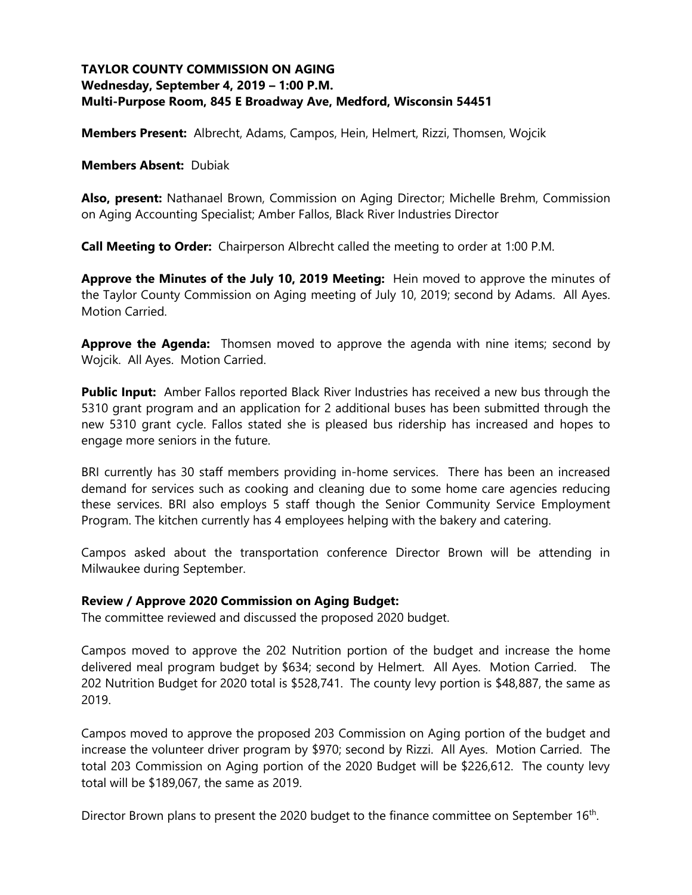# **TAYLOR COUNTY COMMISSION ON AGING Wednesday, September 4, 2019 – 1:00 P.M. Multi-Purpose Room, 845 E Broadway Ave, Medford, Wisconsin 54451**

**Members Present:** Albrecht, Adams, Campos, Hein, Helmert, Rizzi, Thomsen, Wojcik

**Members Absent:** Dubiak

**Also, present:** Nathanael Brown, Commission on Aging Director; Michelle Brehm, Commission on Aging Accounting Specialist; Amber Fallos, Black River Industries Director

**Call Meeting to Order:** Chairperson Albrecht called the meeting to order at 1:00 P.M.

**Approve the Minutes of the July 10, 2019 Meeting:** Hein moved to approve the minutes of the Taylor County Commission on Aging meeting of July 10, 2019; second by Adams. All Ayes. Motion Carried.

**Approve the Agenda:** Thomsen moved to approve the agenda with nine items; second by Wojcik. All Ayes. Motion Carried.

**Public Input:** Amber Fallos reported Black River Industries has received a new bus through the 5310 grant program and an application for 2 additional buses has been submitted through the new 5310 grant cycle. Fallos stated she is pleased bus ridership has increased and hopes to engage more seniors in the future.

BRI currently has 30 staff members providing in-home services. There has been an increased demand for services such as cooking and cleaning due to some home care agencies reducing these services. BRI also employs 5 staff though the Senior Community Service Employment Program. The kitchen currently has 4 employees helping with the bakery and catering.

Campos asked about the transportation conference Director Brown will be attending in Milwaukee during September.

### **Review / Approve 2020 Commission on Aging Budget:**

The committee reviewed and discussed the proposed 2020 budget.

Campos moved to approve the 202 Nutrition portion of the budget and increase the home delivered meal program budget by \$634; second by Helmert. All Ayes. Motion Carried. The 202 Nutrition Budget for 2020 total is \$528,741. The county levy portion is \$48,887, the same as 2019.

Campos moved to approve the proposed 203 Commission on Aging portion of the budget and increase the volunteer driver program by \$970; second by Rizzi. All Ayes. Motion Carried. The total 203 Commission on Aging portion of the 2020 Budget will be \$226,612. The county levy total will be \$189,067, the same as 2019.

Director Brown plans to present the 2020 budget to the finance committee on September  $16<sup>th</sup>$ .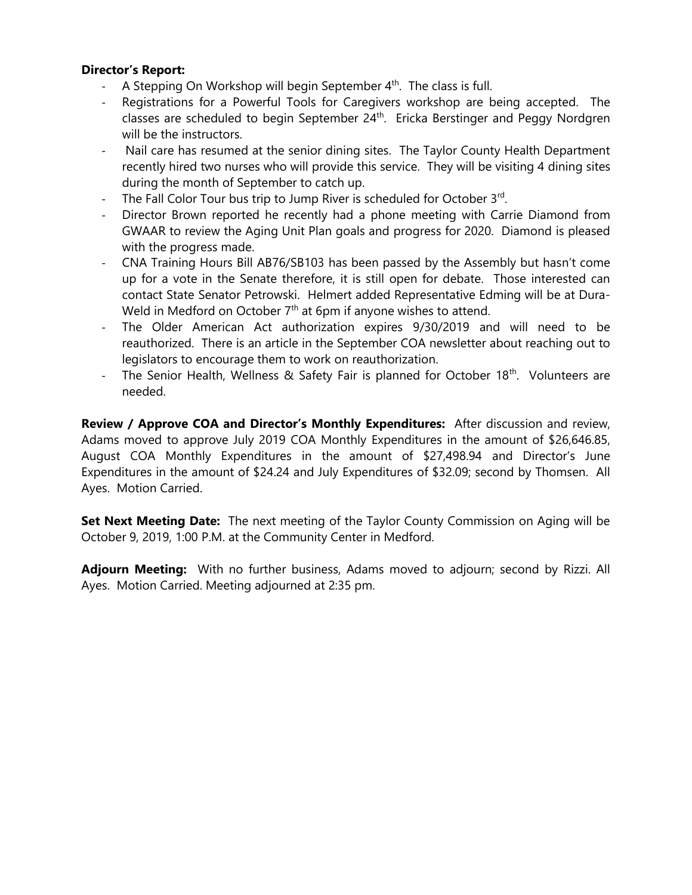### **Director's Report:**

- A Stepping On Workshop will begin September  $4<sup>th</sup>$ . The class is full.
- Registrations for a Powerful Tools for Caregivers workshop are being accepted. The classes are scheduled to begin September 24<sup>th</sup>. Ericka Berstinger and Peggy Nordgren will be the instructors.
- Nail care has resumed at the senior dining sites. The Taylor County Health Department recently hired two nurses who will provide this service. They will be visiting 4 dining sites during the month of September to catch up.
- The Fall Color Tour bus trip to Jump River is scheduled for October 3<sup>rd</sup>.
- Director Brown reported he recently had a phone meeting with Carrie Diamond from GWAAR to review the Aging Unit Plan goals and progress for 2020. Diamond is pleased with the progress made.
- CNA Training Hours Bill AB76/SB103 has been passed by the Assembly but hasn't come up for a vote in the Senate therefore, it is still open for debate. Those interested can contact State Senator Petrowski. Helmert added Representative Edming will be at Dura-Weld in Medford on October  $7<sup>th</sup>$  at 6pm if anyone wishes to attend.
- The Older American Act authorization expires 9/30/2019 and will need to be reauthorized. There is an article in the September COA newsletter about reaching out to legislators to encourage them to work on reauthorization.
- The Senior Health, Wellness & Safety Fair is planned for October 18<sup>th</sup>. Volunteers are needed.

**Review / Approve COA and Director's Monthly Expenditures:** After discussion and review, Adams moved to approve July 2019 COA Monthly Expenditures in the amount of \$26,646.85, August COA Monthly Expenditures in the amount of \$27,498.94 and Director's June Expenditures in the amount of \$24.24 and July Expenditures of \$32.09; second by Thomsen. All Ayes. Motion Carried.

**Set Next Meeting Date:** The next meeting of the Taylor County Commission on Aging will be October 9, 2019, 1:00 P.M. at the Community Center in Medford.

**Adjourn Meeting:** With no further business, Adams moved to adjourn; second by Rizzi. All Ayes. Motion Carried. Meeting adjourned at 2:35 pm.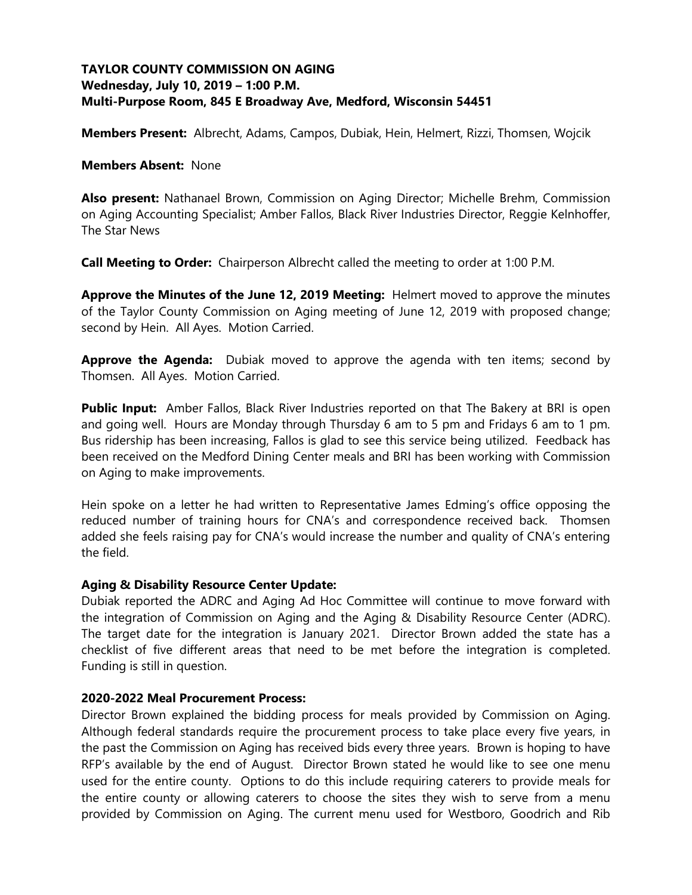# **TAYLOR COUNTY COMMISSION ON AGING Wednesday, July 10, 2019 – 1:00 P.M. Multi-Purpose Room, 845 E Broadway Ave, Medford, Wisconsin 54451**

**Members Present:** Albrecht, Adams, Campos, Dubiak, Hein, Helmert, Rizzi, Thomsen, Wojcik

#### **Members Absent:** None

**Also present:** Nathanael Brown, Commission on Aging Director; Michelle Brehm, Commission on Aging Accounting Specialist; Amber Fallos, Black River Industries Director, Reggie Kelnhoffer, The Star News

**Call Meeting to Order:** Chairperson Albrecht called the meeting to order at 1:00 P.M.

**Approve the Minutes of the June 12, 2019 Meeting:** Helmert moved to approve the minutes of the Taylor County Commission on Aging meeting of June 12, 2019 with proposed change; second by Hein. All Ayes. Motion Carried.

**Approve the Agenda:** Dubiak moved to approve the agenda with ten items; second by Thomsen. All Ayes. Motion Carried.

**Public Input:** Amber Fallos, Black River Industries reported on that The Bakery at BRI is open and going well. Hours are Monday through Thursday 6 am to 5 pm and Fridays 6 am to 1 pm. Bus ridership has been increasing, Fallos is glad to see this service being utilized. Feedback has been received on the Medford Dining Center meals and BRI has been working with Commission on Aging to make improvements.

Hein spoke on a letter he had written to Representative James Edming's office opposing the reduced number of training hours for CNA's and correspondence received back. Thomsen added she feels raising pay for CNA's would increase the number and quality of CNA's entering the field.

### **Aging & Disability Resource Center Update:**

Dubiak reported the ADRC and Aging Ad Hoc Committee will continue to move forward with the integration of Commission on Aging and the Aging & Disability Resource Center (ADRC). The target date for the integration is January 2021. Director Brown added the state has a checklist of five different areas that need to be met before the integration is completed. Funding is still in question.

### **2020-2022 Meal Procurement Process:**

Director Brown explained the bidding process for meals provided by Commission on Aging. Although federal standards require the procurement process to take place every five years, in the past the Commission on Aging has received bids every three years. Brown is hoping to have RFP's available by the end of August. Director Brown stated he would like to see one menu used for the entire county. Options to do this include requiring caterers to provide meals for the entire county or allowing caterers to choose the sites they wish to serve from a menu provided by Commission on Aging. The current menu used for Westboro, Goodrich and Rib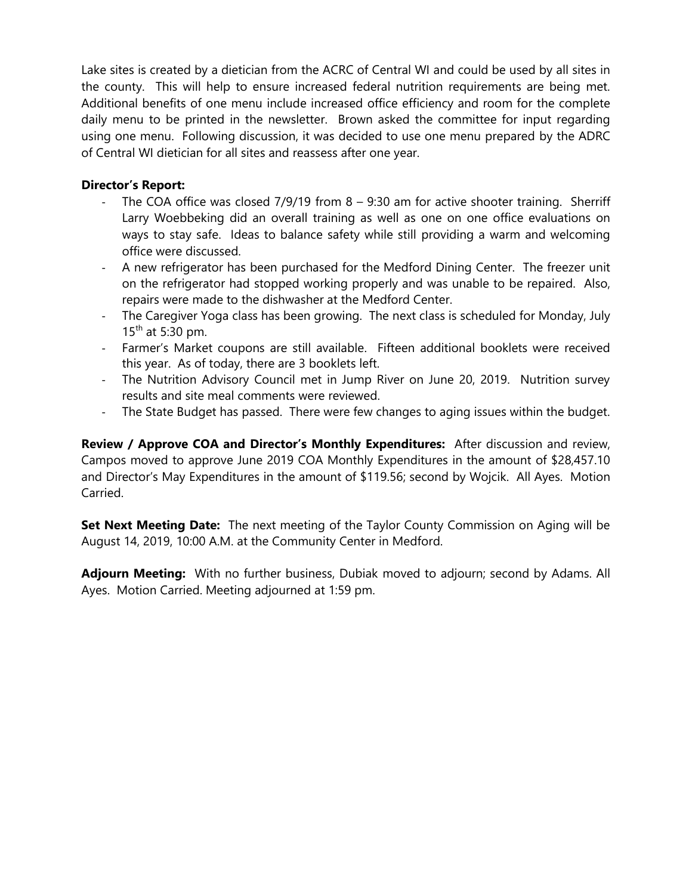Lake sites is created by a dietician from the ACRC of Central WI and could be used by all sites in the county. This will help to ensure increased federal nutrition requirements are being met. Additional benefits of one menu include increased office efficiency and room for the complete daily menu to be printed in the newsletter. Brown asked the committee for input regarding using one menu. Following discussion, it was decided to use one menu prepared by the ADRC of Central WI dietician for all sites and reassess after one year.

# **Director's Report:**

- The COA office was closed  $7/9/19$  from  $8 9:30$  am for active shooter training. Sherriff Larry Woebbeking did an overall training as well as one on one office evaluations on ways to stay safe. Ideas to balance safety while still providing a warm and welcoming office were discussed.
- A new refrigerator has been purchased for the Medford Dining Center. The freezer unit on the refrigerator had stopped working properly and was unable to be repaired. Also, repairs were made to the dishwasher at the Medford Center.
- The Caregiver Yoga class has been growing. The next class is scheduled for Monday, July  $15^{th}$  at 5:30 pm.
- Farmer's Market coupons are still available. Fifteen additional booklets were received this year. As of today, there are 3 booklets left.
- The Nutrition Advisory Council met in Jump River on June 20, 2019. Nutrition survey results and site meal comments were reviewed.
- The State Budget has passed. There were few changes to aging issues within the budget.

**Review / Approve COA and Director's Monthly Expenditures:** After discussion and review, Campos moved to approve June 2019 COA Monthly Expenditures in the amount of \$28,457.10 and Director's May Expenditures in the amount of \$119.56; second by Wojcik. All Ayes. Motion Carried.

**Set Next Meeting Date:** The next meeting of the Taylor County Commission on Aging will be August 14, 2019, 10:00 A.M. at the Community Center in Medford.

**Adjourn Meeting:** With no further business, Dubiak moved to adjourn; second by Adams. All Ayes. Motion Carried. Meeting adjourned at 1:59 pm.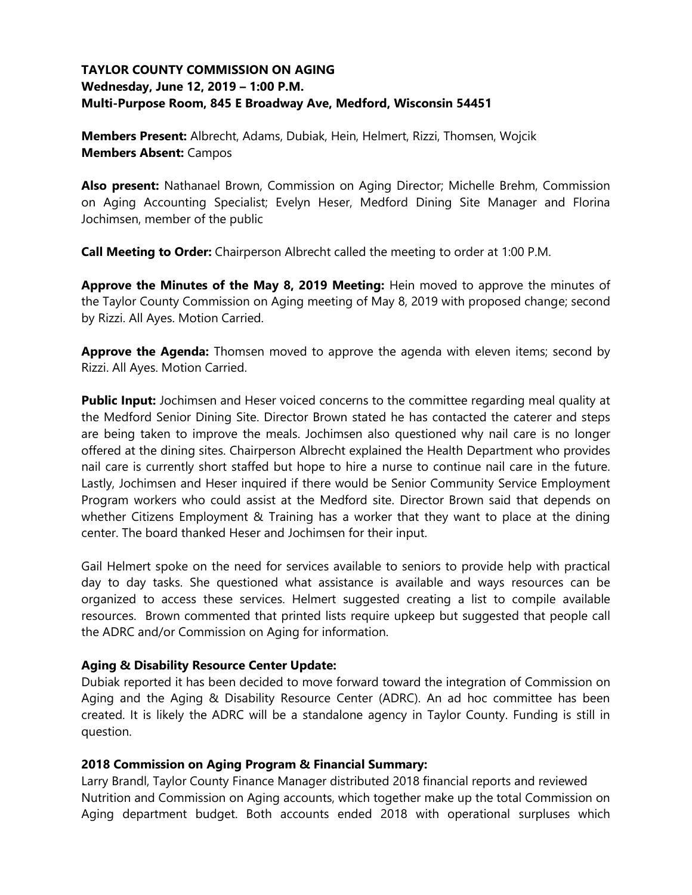# **TAYLOR COUNTY COMMISSION ON AGING Wednesday, June 12, 2019 – 1:00 P.M. Multi-Purpose Room, 845 E Broadway Ave, Medford, Wisconsin 54451**

**Members Present:** Albrecht, Adams, Dubiak, Hein, Helmert, Rizzi, Thomsen, Wojcik **Members Absent:** Campos

**Also present:** Nathanael Brown, Commission on Aging Director; Michelle Brehm, Commission on Aging Accounting Specialist; Evelyn Heser, Medford Dining Site Manager and Florina Jochimsen, member of the public

**Call Meeting to Order:** Chairperson Albrecht called the meeting to order at 1:00 P.M.

**Approve the Minutes of the May 8, 2019 Meeting:** Hein moved to approve the minutes of the Taylor County Commission on Aging meeting of May 8, 2019 with proposed change; second by Rizzi. All Ayes. Motion Carried.

**Approve the Agenda:** Thomsen moved to approve the agenda with eleven items; second by Rizzi. All Ayes. Motion Carried.

**Public Input:** Jochimsen and Heser voiced concerns to the committee regarding meal quality at the Medford Senior Dining Site. Director Brown stated he has contacted the caterer and steps are being taken to improve the meals. Jochimsen also questioned why nail care is no longer offered at the dining sites. Chairperson Albrecht explained the Health Department who provides nail care is currently short staffed but hope to hire a nurse to continue nail care in the future. Lastly, Jochimsen and Heser inquired if there would be Senior Community Service Employment Program workers who could assist at the Medford site. Director Brown said that depends on whether Citizens Employment & Training has a worker that they want to place at the dining center. The board thanked Heser and Jochimsen for their input.

Gail Helmert spoke on the need for services available to seniors to provide help with practical day to day tasks. She questioned what assistance is available and ways resources can be organized to access these services. Helmert suggested creating a list to compile available resources. Brown commented that printed lists require upkeep but suggested that people call the ADRC and/or Commission on Aging for information.

### **Aging & Disability Resource Center Update:**

Dubiak reported it has been decided to move forward toward the integration of Commission on Aging and the Aging & Disability Resource Center (ADRC). An ad hoc committee has been created. It is likely the ADRC will be a standalone agency in Taylor County. Funding is still in question.

### **2018 Commission on Aging Program & Financial Summary:**

Larry Brandl, Taylor County Finance Manager distributed 2018 financial reports and reviewed Nutrition and Commission on Aging accounts, which together make up the total Commission on Aging department budget. Both accounts ended 2018 with operational surpluses which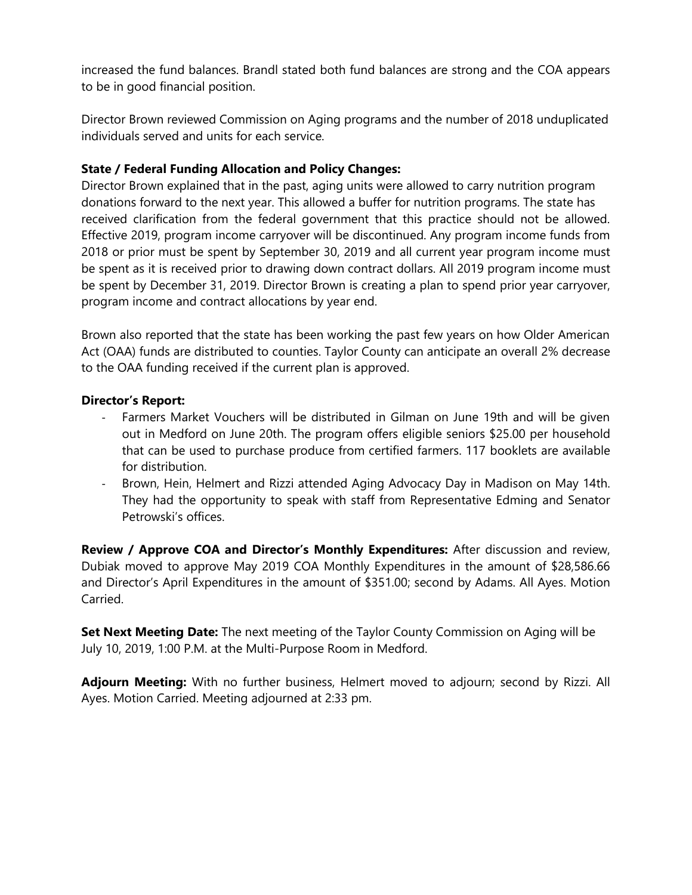increased the fund balances. Brandl stated both fund balances are strong and the COA appears to be in good financial position.

Director Brown reviewed Commission on Aging programs and the number of 2018 unduplicated individuals served and units for each service.

# **State / Federal Funding Allocation and Policy Changes:**

Director Brown explained that in the past, aging units were allowed to carry nutrition program donations forward to the next year. This allowed a buffer for nutrition programs. The state has received clarification from the federal government that this practice should not be allowed. Effective 2019, program income carryover will be discontinued. Any program income funds from 2018 or prior must be spent by September 30, 2019 and all current year program income must be spent as it is received prior to drawing down contract dollars. All 2019 program income must be spent by December 31, 2019. Director Brown is creating a plan to spend prior year carryover, program income and contract allocations by year end.

Brown also reported that the state has been working the past few years on how Older American Act (OAA) funds are distributed to counties. Taylor County can anticipate an overall 2% decrease to the OAA funding received if the current plan is approved.

## **Director's Report:**

- Farmers Market Vouchers will be distributed in Gilman on June 19th and will be given out in Medford on June 20th. The program offers eligible seniors \$25.00 per household that can be used to purchase produce from certified farmers. 117 booklets are available for distribution.
- Brown, Hein, Helmert and Rizzi attended Aging Advocacy Day in Madison on May 14th. They had the opportunity to speak with staff from Representative Edming and Senator Petrowski's offices.

**Review / Approve COA and Director's Monthly Expenditures:** After discussion and review, Dubiak moved to approve May 2019 COA Monthly Expenditures in the amount of \$28,586.66 and Director's April Expenditures in the amount of \$351.00; second by Adams. All Ayes. Motion Carried.

**Set Next Meeting Date:** The next meeting of the Taylor County Commission on Aging will be July 10, 2019, 1:00 P.M. at the Multi-Purpose Room in Medford.

**Adjourn Meeting:** With no further business, Helmert moved to adjourn; second by Rizzi. All Ayes. Motion Carried. Meeting adjourned at 2:33 pm.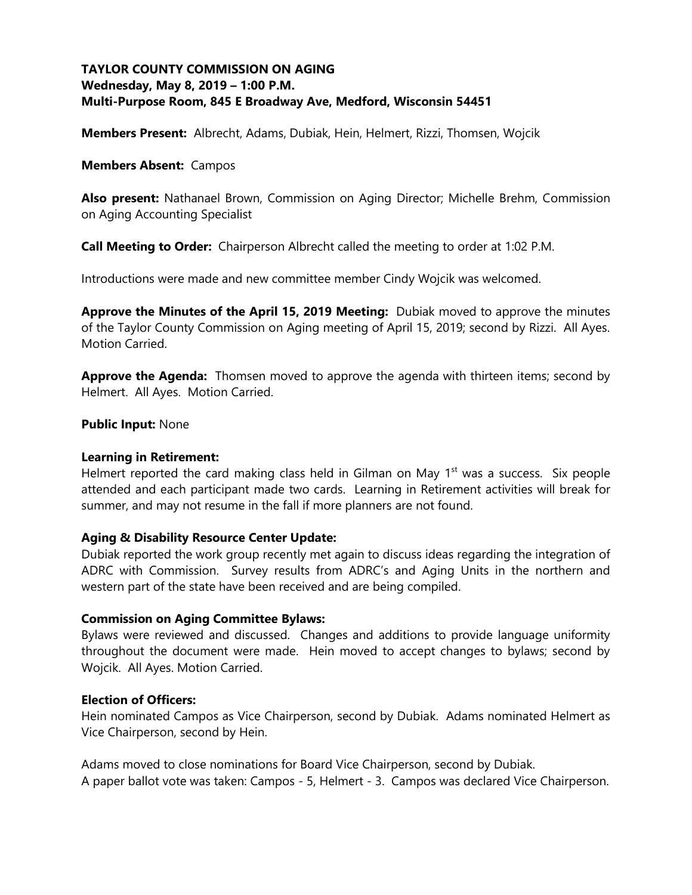# **TAYLOR COUNTY COMMISSION ON AGING Wednesday, May 8, 2019 – 1:00 P.M. Multi-Purpose Room, 845 E Broadway Ave, Medford, Wisconsin 54451**

**Members Present:** Albrecht, Adams, Dubiak, Hein, Helmert, Rizzi, Thomsen, Wojcik

#### **Members Absent:** Campos

**Also present:** Nathanael Brown, Commission on Aging Director; Michelle Brehm, Commission on Aging Accounting Specialist

**Call Meeting to Order:** Chairperson Albrecht called the meeting to order at 1:02 P.M.

Introductions were made and new committee member Cindy Wojcik was welcomed.

**Approve the Minutes of the April 15, 2019 Meeting:** Dubiak moved to approve the minutes of the Taylor County Commission on Aging meeting of April 15, 2019; second by Rizzi. All Ayes. Motion Carried.

**Approve the Agenda:** Thomsen moved to approve the agenda with thirteen items; second by Helmert. All Ayes. Motion Carried.

#### **Public Input:** None

#### **Learning in Retirement:**

Helmert reported the card making class held in Gilman on May  $1<sup>st</sup>$  was a success. Six people attended and each participant made two cards. Learning in Retirement activities will break for summer, and may not resume in the fall if more planners are not found.

### **Aging & Disability Resource Center Update:**

Dubiak reported the work group recently met again to discuss ideas regarding the integration of ADRC with Commission. Survey results from ADRC's and Aging Units in the northern and western part of the state have been received and are being compiled.

#### **Commission on Aging Committee Bylaws:**

Bylaws were reviewed and discussed. Changes and additions to provide language uniformity throughout the document were made. Hein moved to accept changes to bylaws; second by Wojcik. All Ayes. Motion Carried.

#### **Election of Officers:**

Hein nominated Campos as Vice Chairperson, second by Dubiak. Adams nominated Helmert as Vice Chairperson, second by Hein.

Adams moved to close nominations for Board Vice Chairperson, second by Dubiak. A paper ballot vote was taken: Campos - 5, Helmert - 3. Campos was declared Vice Chairperson.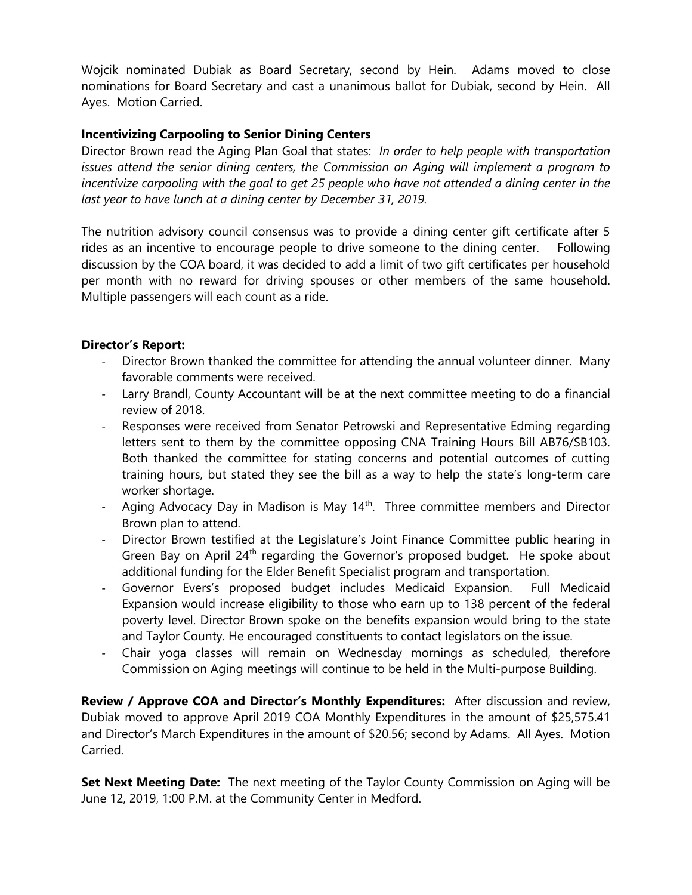Wojcik nominated Dubiak as Board Secretary, second by Hein. Adams moved to close nominations for Board Secretary and cast a unanimous ballot for Dubiak, second by Hein. All Ayes. Motion Carried.

## **Incentivizing Carpooling to Senior Dining Centers**

Director Brown read the Aging Plan Goal that states: *In order to help people with transportation issues attend the senior dining centers, the Commission on Aging will implement a program to incentivize carpooling with the goal to get 25 people who have not attended a dining center in the last year to have lunch at a dining center by December 31, 2019.*

The nutrition advisory council consensus was to provide a dining center gift certificate after 5 rides as an incentive to encourage people to drive someone to the dining center. Following discussion by the COA board, it was decided to add a limit of two gift certificates per household per month with no reward for driving spouses or other members of the same household. Multiple passengers will each count as a ride.

### **Director's Report:**

- Director Brown thanked the committee for attending the annual volunteer dinner. Many favorable comments were received.
- Larry Brandl, County Accountant will be at the next committee meeting to do a financial review of 2018.
- Responses were received from Senator Petrowski and Representative Edming regarding letters sent to them by the committee opposing CNA Training Hours Bill AB76/SB103. Both thanked the committee for stating concerns and potential outcomes of cutting training hours, but stated they see the bill as a way to help the state's long-term care worker shortage.
- Aging Advocacy Day in Madison is May  $14<sup>th</sup>$ . Three committee members and Director Brown plan to attend.
- Director Brown testified at the Legislature's Joint Finance Committee public hearing in Green Bay on April 24<sup>th</sup> regarding the Governor's proposed budget. He spoke about additional funding for the Elder Benefit Specialist program and transportation.
- Governor Evers's proposed budget includes Medicaid Expansion. Full Medicaid Expansion would increase eligibility to those who earn up to 138 percent of the federal poverty level. Director Brown spoke on the benefits expansion would bring to the state and Taylor County. He encouraged constituents to contact legislators on the issue.
- Chair yoga classes will remain on Wednesday mornings as scheduled, therefore Commission on Aging meetings will continue to be held in the Multi-purpose Building.

**Review / Approve COA and Director's Monthly Expenditures:** After discussion and review, Dubiak moved to approve April 2019 COA Monthly Expenditures in the amount of \$25,575.41 and Director's March Expenditures in the amount of \$20.56; second by Adams. All Ayes. Motion Carried.

**Set Next Meeting Date:** The next meeting of the Taylor County Commission on Aging will be June 12, 2019, 1:00 P.M. at the Community Center in Medford.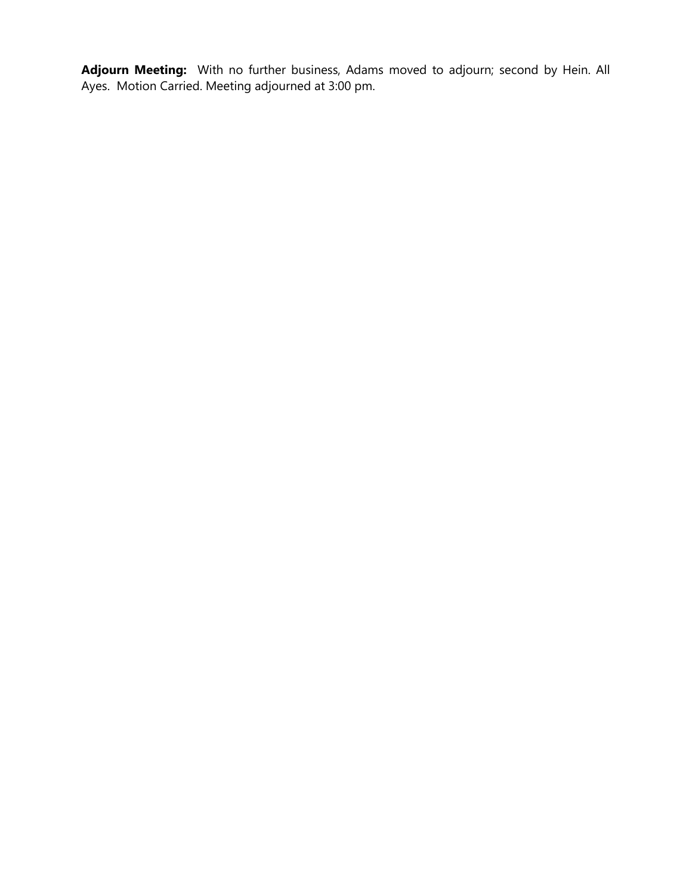**Adjourn Meeting:** With no further business, Adams moved to adjourn; second by Hein. All Ayes. Motion Carried. Meeting adjourned at 3:00 pm.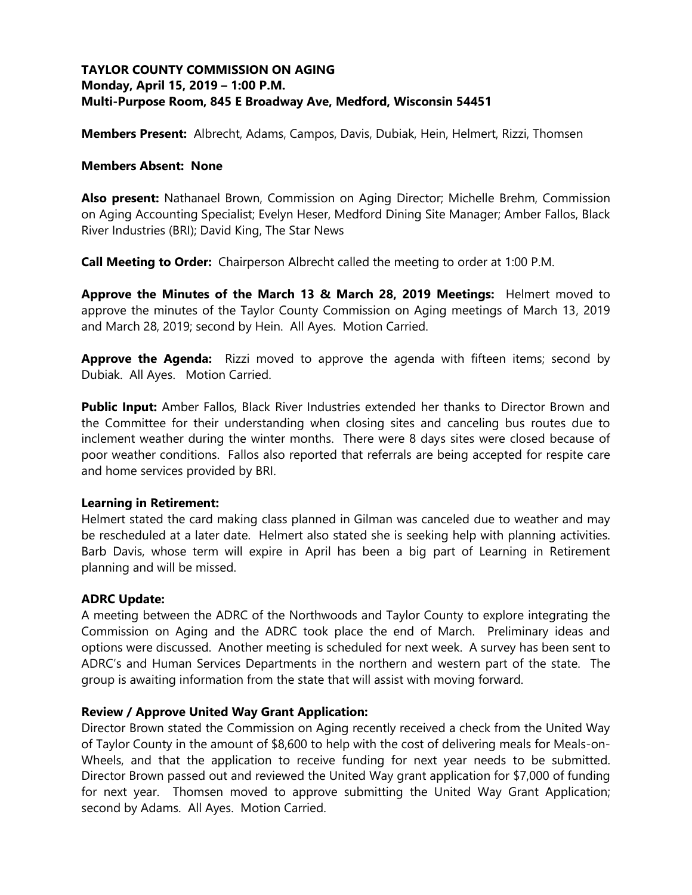# **TAYLOR COUNTY COMMISSION ON AGING Monday, April 15, 2019 – 1:00 P.M. Multi-Purpose Room, 845 E Broadway Ave, Medford, Wisconsin 54451**

**Members Present:** Albrecht, Adams, Campos, Davis, Dubiak, Hein, Helmert, Rizzi, Thomsen

### **Members Absent: None**

**Also present:** Nathanael Brown, Commission on Aging Director; Michelle Brehm, Commission on Aging Accounting Specialist; Evelyn Heser, Medford Dining Site Manager; Amber Fallos, Black River Industries (BRI); David King, The Star News

**Call Meeting to Order:** Chairperson Albrecht called the meeting to order at 1:00 P.M.

**Approve the Minutes of the March 13 & March 28, 2019 Meetings:** Helmert moved to approve the minutes of the Taylor County Commission on Aging meetings of March 13, 2019 and March 28, 2019; second by Hein. All Ayes. Motion Carried.

**Approve the Agenda:** Rizzi moved to approve the agenda with fifteen items; second by Dubiak. All Ayes. Motion Carried.

**Public Input:** Amber Fallos, Black River Industries extended her thanks to Director Brown and the Committee for their understanding when closing sites and canceling bus routes due to inclement weather during the winter months. There were 8 days sites were closed because of poor weather conditions. Fallos also reported that referrals are being accepted for respite care and home services provided by BRI.

### **Learning in Retirement:**

Helmert stated the card making class planned in Gilman was canceled due to weather and may be rescheduled at a later date. Helmert also stated she is seeking help with planning activities. Barb Davis, whose term will expire in April has been a big part of Learning in Retirement planning and will be missed.

### **ADRC Update:**

A meeting between the ADRC of the Northwoods and Taylor County to explore integrating the Commission on Aging and the ADRC took place the end of March. Preliminary ideas and options were discussed. Another meeting is scheduled for next week. A survey has been sent to ADRC's and Human Services Departments in the northern and western part of the state. The group is awaiting information from the state that will assist with moving forward.

### **Review / Approve United Way Grant Application:**

Director Brown stated the Commission on Aging recently received a check from the United Way of Taylor County in the amount of \$8,600 to help with the cost of delivering meals for Meals-on-Wheels, and that the application to receive funding for next year needs to be submitted. Director Brown passed out and reviewed the United Way grant application for \$7,000 of funding for next year. Thomsen moved to approve submitting the United Way Grant Application; second by Adams. All Ayes. Motion Carried.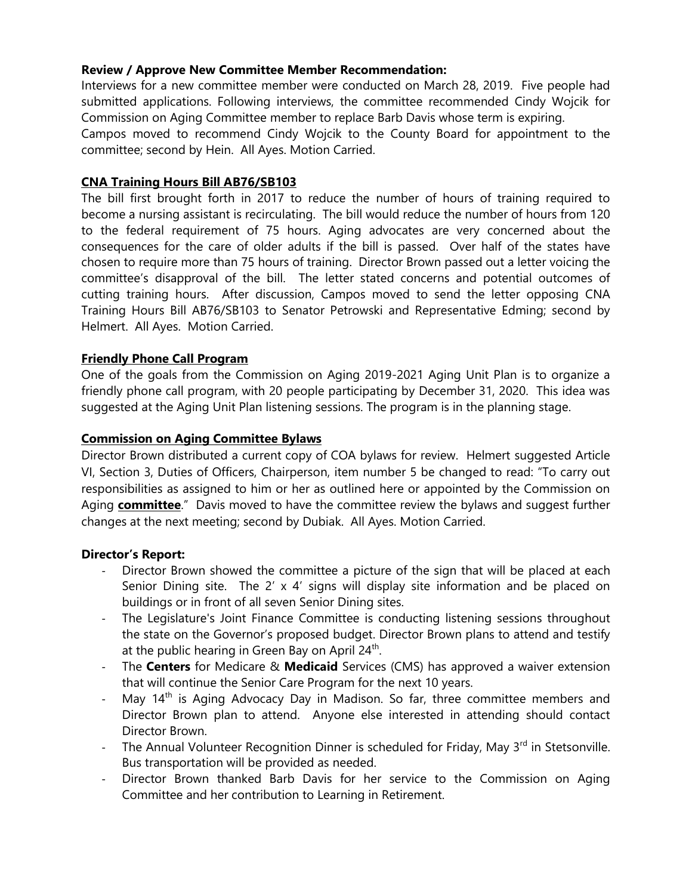## **Review / Approve New Committee Member Recommendation:**

Interviews for a new committee member were conducted on March 28, 2019. Five people had submitted applications. Following interviews, the committee recommended Cindy Wojcik for Commission on Aging Committee member to replace Barb Davis whose term is expiring.

Campos moved to recommend Cindy Wojcik to the County Board for appointment to the committee; second by Hein. All Ayes. Motion Carried.

## **CNA Training Hours Bill AB76/SB103**

The bill first brought forth in 2017 to reduce the number of hours of training required to become a nursing assistant is recirculating. The bill would reduce the number of hours from 120 to the federal requirement of 75 hours. Aging advocates are very concerned about the consequences for the care of older adults if the bill is passed. Over half of the states have chosen to require more than 75 hours of training. Director Brown passed out a letter voicing the committee's disapproval of the bill. The letter stated concerns and potential outcomes of cutting training hours. After discussion, Campos moved to send the letter opposing CNA Training Hours Bill AB76/SB103 to Senator Petrowski and Representative Edming; second by Helmert. All Ayes. Motion Carried.

### **Friendly Phone Call Program**

One of the goals from the Commission on Aging 2019-2021 Aging Unit Plan is to organize a friendly phone call program, with 20 people participating by December 31, 2020. This idea was suggested at the Aging Unit Plan listening sessions. The program is in the planning stage.

### **Commission on Aging Committee Bylaws**

Director Brown distributed a current copy of COA bylaws for review. Helmert suggested Article VI, Section 3, Duties of Officers, Chairperson, item number 5 be changed to read: "To carry out responsibilities as assigned to him or her as outlined here or appointed by the Commission on Aging **committee**." Davis moved to have the committee review the bylaws and suggest further changes at the next meeting; second by Dubiak. All Ayes. Motion Carried.

### **Director's Report:**

- Director Brown showed the committee a picture of the sign that will be placed at each Senior Dining site. The 2'  $\times$  4' signs will display site information and be placed on buildings or in front of all seven Senior Dining sites.
- The Legislature's Joint Finance Committee is conducting listening sessions throughout the state on the Governor's proposed budget. Director Brown plans to attend and testify at the public hearing in Green Bay on April  $24^{th}$ .
- The **Centers** for Medicare & **Medicaid** Services (CMS) has approved a waiver extension that will continue the Senior Care Program for the next 10 years.
- May  $14<sup>th</sup>$  is Aging Advocacy Day in Madison. So far, three committee members and Director Brown plan to attend. Anyone else interested in attending should contact Director Brown.
- The Annual Volunteer Recognition Dinner is scheduled for Friday, May 3<sup>rd</sup> in Stetsonville. Bus transportation will be provided as needed.
- Director Brown thanked Barb Davis for her service to the Commission on Aging Committee and her contribution to Learning in Retirement.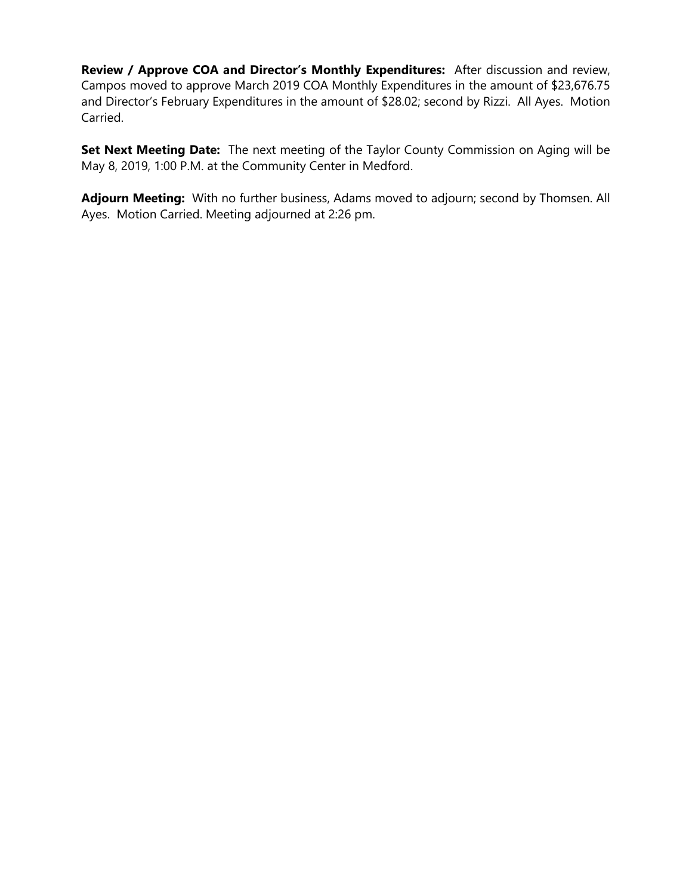**Review / Approve COA and Director's Monthly Expenditures:** After discussion and review, Campos moved to approve March 2019 COA Monthly Expenditures in the amount of \$23,676.75 and Director's February Expenditures in the amount of \$28.02; second by Rizzi. All Ayes. Motion Carried.

**Set Next Meeting Date:** The next meeting of the Taylor County Commission on Aging will be May 8, 2019, 1:00 P.M. at the Community Center in Medford.

**Adjourn Meeting:** With no further business, Adams moved to adjourn; second by Thomsen. All Ayes. Motion Carried. Meeting adjourned at 2:26 pm.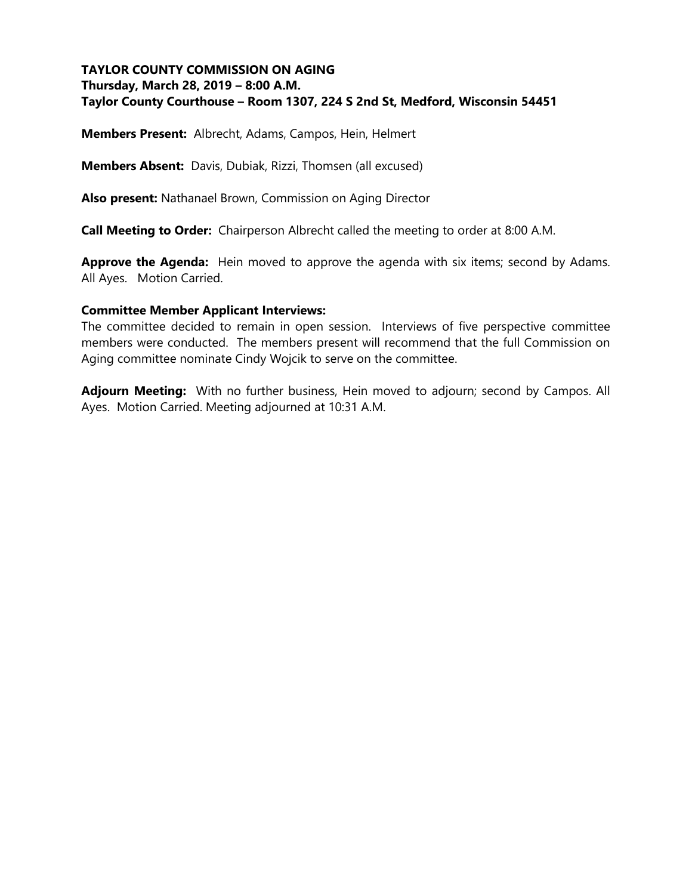# **TAYLOR COUNTY COMMISSION ON AGING Thursday, March 28, 2019 – 8:00 A.M. Taylor County Courthouse – Room 1307, 224 S 2nd St, Medford, Wisconsin 54451**

**Members Present:** Albrecht, Adams, Campos, Hein, Helmert

**Members Absent:** Davis, Dubiak, Rizzi, Thomsen (all excused)

**Also present:** Nathanael Brown, Commission on Aging Director

**Call Meeting to Order:** Chairperson Albrecht called the meeting to order at 8:00 A.M.

**Approve the Agenda:** Hein moved to approve the agenda with six items; second by Adams. All Ayes. Motion Carried.

#### **Committee Member Applicant Interviews:**

The committee decided to remain in open session. Interviews of five perspective committee members were conducted. The members present will recommend that the full Commission on Aging committee nominate Cindy Wojcik to serve on the committee.

**Adjourn Meeting:** With no further business, Hein moved to adjourn; second by Campos. All Ayes. Motion Carried. Meeting adjourned at 10:31 A.M.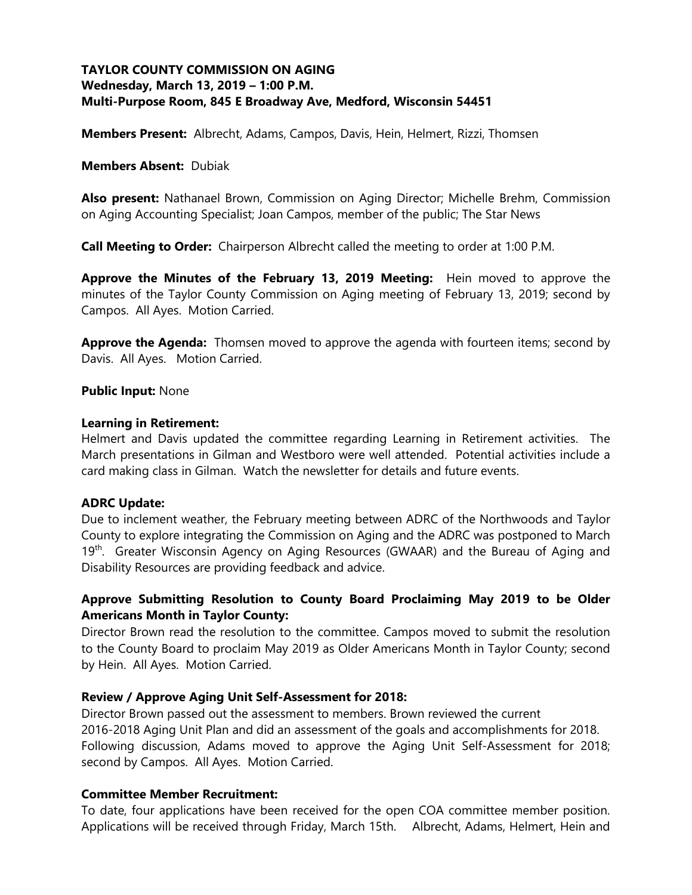# **TAYLOR COUNTY COMMISSION ON AGING Wednesday, March 13, 2019 – 1:00 P.M. Multi-Purpose Room, 845 E Broadway Ave, Medford, Wisconsin 54451**

**Members Present:** Albrecht, Adams, Campos, Davis, Hein, Helmert, Rizzi, Thomsen

#### **Members Absent:** Dubiak

**Also present:** Nathanael Brown, Commission on Aging Director; Michelle Brehm, Commission on Aging Accounting Specialist; Joan Campos, member of the public; The Star News

**Call Meeting to Order:** Chairperson Albrecht called the meeting to order at 1:00 P.M.

**Approve the Minutes of the February 13, 2019 Meeting:** Hein moved to approve the minutes of the Taylor County Commission on Aging meeting of February 13, 2019; second by Campos. All Ayes. Motion Carried.

**Approve the Agenda:** Thomsen moved to approve the agenda with fourteen items; second by Davis. All Ayes. Motion Carried.

#### **Public Input:** None

#### **Learning in Retirement:**

Helmert and Davis updated the committee regarding Learning in Retirement activities. The March presentations in Gilman and Westboro were well attended. Potential activities include a card making class in Gilman. Watch the newsletter for details and future events.

### **ADRC Update:**

Due to inclement weather, the February meeting between ADRC of the Northwoods and Taylor County to explore integrating the Commission on Aging and the ADRC was postponed to March 19<sup>th</sup>. Greater Wisconsin Agency on Aging Resources (GWAAR) and the Bureau of Aging and Disability Resources are providing feedback and advice.

## **Approve Submitting Resolution to County Board Proclaiming May 2019 to be Older Americans Month in Taylor County:**

Director Brown read the resolution to the committee. Campos moved to submit the resolution to the County Board to proclaim May 2019 as Older Americans Month in Taylor County; second by Hein. All Ayes. Motion Carried.

### **Review / Approve Aging Unit Self-Assessment for 2018:**

Director Brown passed out the assessment to members. Brown reviewed the current 2016-2018 Aging Unit Plan and did an assessment of the goals and accomplishments for 2018. Following discussion, Adams moved to approve the Aging Unit Self-Assessment for 2018; second by Campos. All Ayes. Motion Carried.

#### **Committee Member Recruitment:**

To date, four applications have been received for the open COA committee member position. Applications will be received through Friday, March 15th. Albrecht, Adams, Helmert, Hein and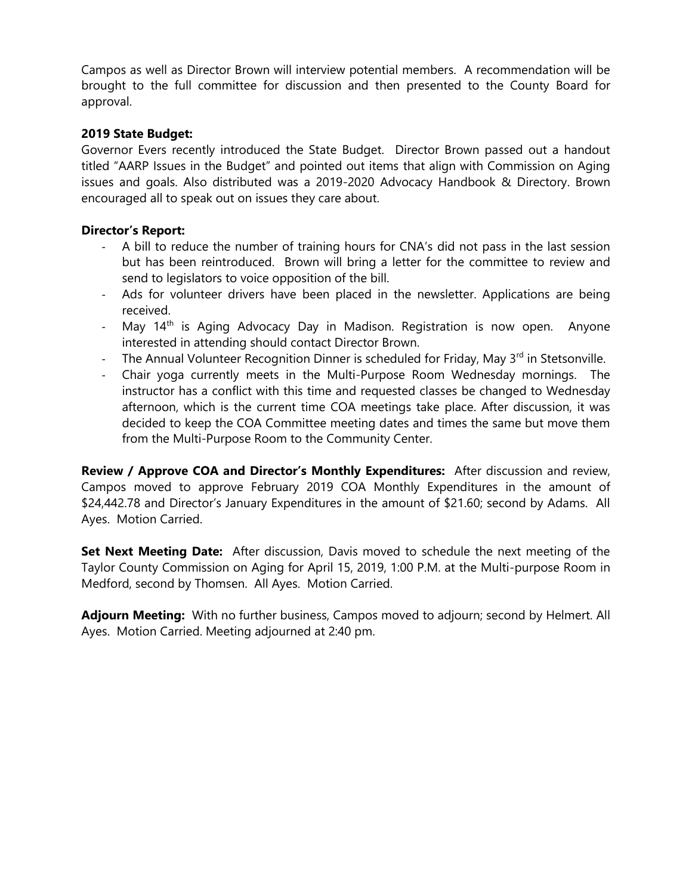Campos as well as Director Brown will interview potential members. A recommendation will be brought to the full committee for discussion and then presented to the County Board for approval.

# **2019 State Budget:**

Governor Evers recently introduced the State Budget. Director Brown passed out a handout titled "AARP Issues in the Budget" and pointed out items that align with Commission on Aging issues and goals. Also distributed was a 2019-2020 Advocacy Handbook & Directory. Brown encouraged all to speak out on issues they care about.

### **Director's Report:**

- A bill to reduce the number of training hours for CNA's did not pass in the last session but has been reintroduced. Brown will bring a letter for the committee to review and send to legislators to voice opposition of the bill.
- Ads for volunteer drivers have been placed in the newsletter. Applications are being received.
- May 14<sup>th</sup> is Aging Advocacy Day in Madison. Registration is now open. Anyone interested in attending should contact Director Brown.
- The Annual Volunteer Recognition Dinner is scheduled for Friday, May 3<sup>rd</sup> in Stetsonville.
- Chair yoga currently meets in the Multi-Purpose Room Wednesday mornings. The instructor has a conflict with this time and requested classes be changed to Wednesday afternoon, which is the current time COA meetings take place. After discussion, it was decided to keep the COA Committee meeting dates and times the same but move them from the Multi-Purpose Room to the Community Center.

**Review / Approve COA and Director's Monthly Expenditures:** After discussion and review, Campos moved to approve February 2019 COA Monthly Expenditures in the amount of \$24,442.78 and Director's January Expenditures in the amount of \$21.60; second by Adams. All Ayes. Motion Carried.

**Set Next Meeting Date:** After discussion, Davis moved to schedule the next meeting of the Taylor County Commission on Aging for April 15, 2019, 1:00 P.M. at the Multi-purpose Room in Medford, second by Thomsen. All Ayes. Motion Carried.

**Adjourn Meeting:** With no further business, Campos moved to adjourn; second by Helmert. All Ayes. Motion Carried. Meeting adjourned at 2:40 pm.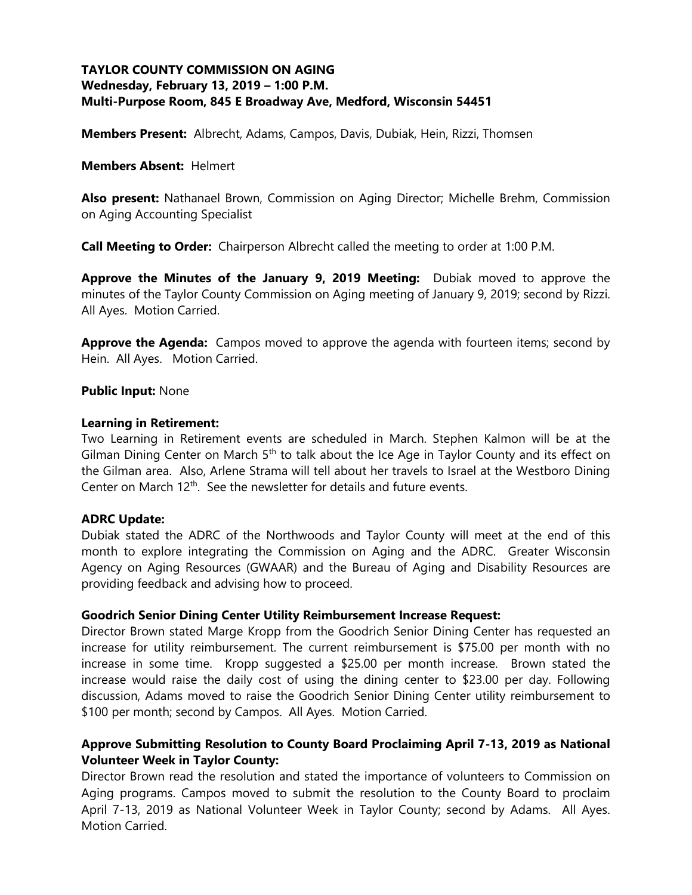# **TAYLOR COUNTY COMMISSION ON AGING Wednesday, February 13, 2019 – 1:00 P.M. Multi-Purpose Room, 845 E Broadway Ave, Medford, Wisconsin 54451**

**Members Present:** Albrecht, Adams, Campos, Davis, Dubiak, Hein, Rizzi, Thomsen

#### **Members Absent:** Helmert

**Also present:** Nathanael Brown, Commission on Aging Director; Michelle Brehm, Commission on Aging Accounting Specialist

**Call Meeting to Order:** Chairperson Albrecht called the meeting to order at 1:00 P.M.

**Approve the Minutes of the January 9, 2019 Meeting:** Dubiak moved to approve the minutes of the Taylor County Commission on Aging meeting of January 9, 2019; second by Rizzi. All Ayes. Motion Carried.

**Approve the Agenda:** Campos moved to approve the agenda with fourteen items; second by Hein. All Ayes. Motion Carried.

#### **Public Input:** None

#### **Learning in Retirement:**

Two Learning in Retirement events are scheduled in March. Stephen Kalmon will be at the Gilman Dining Center on March 5<sup>th</sup> to talk about the Ice Age in Taylor County and its effect on the Gilman area. Also, Arlene Strama will tell about her travels to Israel at the Westboro Dining Center on March  $12<sup>th</sup>$ . See the newsletter for details and future events.

### **ADRC Update:**

Dubiak stated the ADRC of the Northwoods and Taylor County will meet at the end of this month to explore integrating the Commission on Aging and the ADRC. Greater Wisconsin Agency on Aging Resources (GWAAR) and the Bureau of Aging and Disability Resources are providing feedback and advising how to proceed.

#### **Goodrich Senior Dining Center Utility Reimbursement Increase Request:**

Director Brown stated Marge Kropp from the Goodrich Senior Dining Center has requested an increase for utility reimbursement. The current reimbursement is \$75.00 per month with no increase in some time. Kropp suggested a \$25.00 per month increase. Brown stated the increase would raise the daily cost of using the dining center to \$23.00 per day. Following discussion, Adams moved to raise the Goodrich Senior Dining Center utility reimbursement to \$100 per month; second by Campos. All Ayes. Motion Carried.

## **Approve Submitting Resolution to County Board Proclaiming April 7-13, 2019 as National Volunteer Week in Taylor County:**

Director Brown read the resolution and stated the importance of volunteers to Commission on Aging programs. Campos moved to submit the resolution to the County Board to proclaim April 7-13, 2019 as National Volunteer Week in Taylor County; second by Adams. All Ayes. Motion Carried.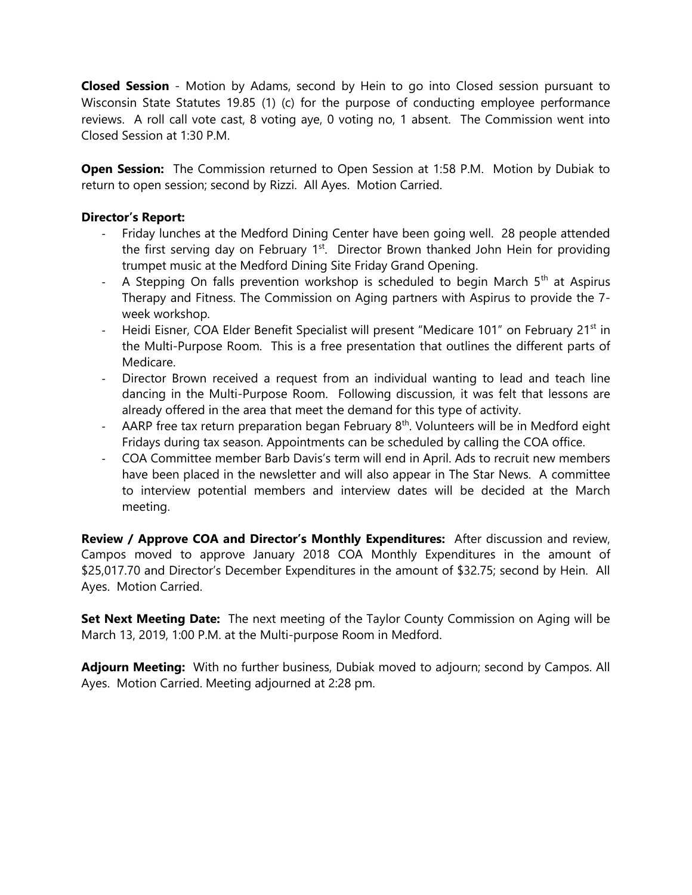**Closed Session** - Motion by Adams, second by Hein to go into Closed session pursuant to Wisconsin State Statutes 19.85 (1) (c) for the purpose of conducting employee performance reviews. A roll call vote cast, 8 voting aye, 0 voting no, 1 absent. The Commission went into Closed Session at 1:30 P.M.

**Open Session:** The Commission returned to Open Session at 1:58 P.M. Motion by Dubiak to return to open session; second by Rizzi. All Ayes. Motion Carried.

### **Director's Report:**

- Friday lunches at the Medford Dining Center have been going well. 28 people attended the first serving day on February 1<sup>st</sup>. Director Brown thanked John Hein for providing trumpet music at the Medford Dining Site Friday Grand Opening.
- A Stepping On falls prevention workshop is scheduled to begin March  $5<sup>th</sup>$  at Aspirus Therapy and Fitness. The Commission on Aging partners with Aspirus to provide the 7 week workshop.
- Heidi Eisner, COA Elder Benefit Specialist will present "Medicare 101" on February 21<sup>st</sup> in the Multi-Purpose Room. This is a free presentation that outlines the different parts of Medicare.
- Director Brown received a request from an individual wanting to lead and teach line dancing in the Multi-Purpose Room. Following discussion, it was felt that lessons are already offered in the area that meet the demand for this type of activity.
- AARP free tax return preparation began February  $8<sup>th</sup>$ . Volunteers will be in Medford eight Fridays during tax season. Appointments can be scheduled by calling the COA office.
- COA Committee member Barb Davis's term will end in April. Ads to recruit new members have been placed in the newsletter and will also appear in The Star News. A committee to interview potential members and interview dates will be decided at the March meeting.

**Review / Approve COA and Director's Monthly Expenditures:** After discussion and review, Campos moved to approve January 2018 COA Monthly Expenditures in the amount of \$25,017.70 and Director's December Expenditures in the amount of \$32.75; second by Hein. All Ayes. Motion Carried.

**Set Next Meeting Date:** The next meeting of the Taylor County Commission on Aging will be March 13, 2019, 1:00 P.M. at the Multi-purpose Room in Medford.

**Adjourn Meeting:** With no further business, Dubiak moved to adjourn; second by Campos. All Ayes. Motion Carried. Meeting adjourned at 2:28 pm.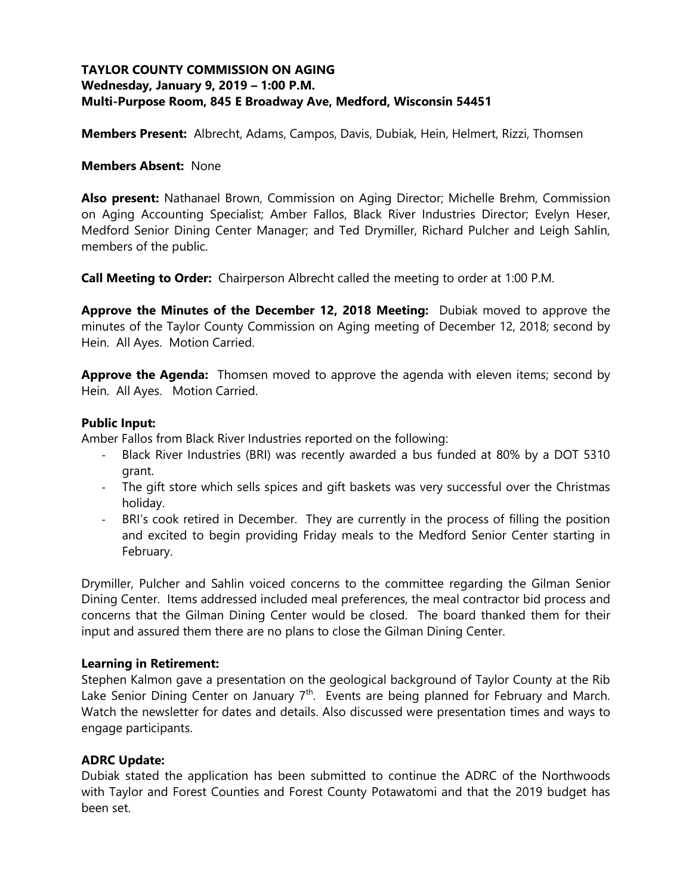# **TAYLOR COUNTY COMMISSION ON AGING Wednesday, January 9, 2019 – 1:00 P.M. Multi-Purpose Room, 845 E Broadway Ave, Medford, Wisconsin 54451**

**Members Present:** Albrecht, Adams, Campos, Davis, Dubiak, Hein, Helmert, Rizzi, Thomsen

#### **Members Absent:** None

**Also present:** Nathanael Brown, Commission on Aging Director; Michelle Brehm, Commission on Aging Accounting Specialist; Amber Fallos, Black River Industries Director; Evelyn Heser, Medford Senior Dining Center Manager; and Ted Drymiller, Richard Pulcher and Leigh Sahlin, members of the public.

**Call Meeting to Order:** Chairperson Albrecht called the meeting to order at 1:00 P.M.

**Approve the Minutes of the December 12, 2018 Meeting:** Dubiak moved to approve the minutes of the Taylor County Commission on Aging meeting of December 12, 2018; second by Hein. All Ayes. Motion Carried.

**Approve the Agenda:** Thomsen moved to approve the agenda with eleven items; second by Hein. All Ayes. Motion Carried.

### **Public Input:**

Amber Fallos from Black River Industries reported on the following:

- Black River Industries (BRI) was recently awarded a bus funded at 80% by a DOT 5310 grant.
- The gift store which sells spices and gift baskets was very successful over the Christmas holiday.
- BRI's cook retired in December. They are currently in the process of filling the position and excited to begin providing Friday meals to the Medford Senior Center starting in February.

Drymiller, Pulcher and Sahlin voiced concerns to the committee regarding the Gilman Senior Dining Center. Items addressed included meal preferences, the meal contractor bid process and concerns that the Gilman Dining Center would be closed. The board thanked them for their input and assured them there are no plans to close the Gilman Dining Center.

#### **Learning in Retirement:**

Stephen Kalmon gave a presentation on the geological background of Taylor County at the Rib Lake Senior Dining Center on January  $7<sup>th</sup>$ . Events are being planned for February and March. Watch the newsletter for dates and details. Also discussed were presentation times and ways to engage participants.

### **ADRC Update:**

Dubiak stated the application has been submitted to continue the ADRC of the Northwoods with Taylor and Forest Counties and Forest County Potawatomi and that the 2019 budget has been set.